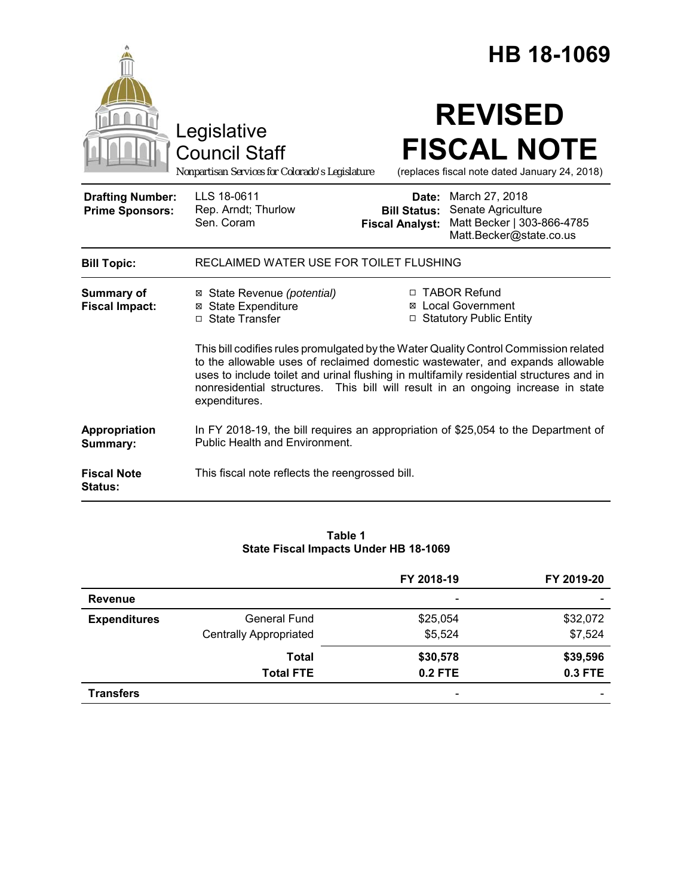|                                                   |                                                                                                                                                                                                                                                                                                                                                                       |                                                                          | HB 18-1069                                        |                                                                     |  |
|---------------------------------------------------|-----------------------------------------------------------------------------------------------------------------------------------------------------------------------------------------------------------------------------------------------------------------------------------------------------------------------------------------------------------------------|--------------------------------------------------------------------------|---------------------------------------------------|---------------------------------------------------------------------|--|
|                                                   | Legislative<br><b>Council Staff</b><br>Nonpartisan Services for Colorado's Legislature                                                                                                                                                                                                                                                                                |                                                                          | <b>REVISED</b>                                    | <b>FISCAL NOTE</b><br>(replaces fiscal note dated January 24, 2018) |  |
| <b>Drafting Number:</b><br><b>Prime Sponsors:</b> | LLS 18-0611<br>Rep. Arndt; Thurlow<br>Sen. Coram                                                                                                                                                                                                                                                                                                                      | <b>Bill Status:</b><br><b>Fiscal Analyst:</b>                            | <b>Date:</b> March 27, 2018<br>Senate Agriculture | Matt Becker   303-866-4785<br>Matt.Becker@state.co.us               |  |
| <b>Bill Topic:</b>                                | RECLAIMED WATER USE FOR TOILET FLUSHING                                                                                                                                                                                                                                                                                                                               |                                                                          |                                                   |                                                                     |  |
| <b>Summary of</b><br><b>Fiscal Impact:</b>        | ⊠ State Revenue (potential)<br><b>⊠</b> State Expenditure<br>□ State Transfer                                                                                                                                                                                                                                                                                         | □ TABOR Refund<br><b>⊠</b> Local Government<br>□ Statutory Public Entity |                                                   |                                                                     |  |
|                                                   | This bill codifies rules promulgated by the Water Quality Control Commission related<br>to the allowable uses of reclaimed domestic wastewater, and expands allowable<br>uses to include toilet and urinal flushing in multifamily residential structures and in<br>nonresidential structures. This bill will result in an ongoing increase in state<br>expenditures. |                                                                          |                                                   |                                                                     |  |
| Appropriation<br>Summary:                         | In FY 2018-19, the bill requires an appropriation of \$25,054 to the Department of<br><b>Public Health and Environment.</b>                                                                                                                                                                                                                                           |                                                                          |                                                   |                                                                     |  |
| <b>Fiscal Note</b><br>Status:                     | This fiscal note reflects the reengrossed bill.                                                                                                                                                                                                                                                                                                                       |                                                                          |                                                   |                                                                     |  |

## **Table 1 State Fiscal Impacts Under HB 18-1069**

|                     |                               | FY 2018-19               | FY 2019-20               |
|---------------------|-------------------------------|--------------------------|--------------------------|
| <b>Revenue</b>      |                               | $\overline{\phantom{0}}$ | $\overline{\phantom{0}}$ |
| <b>Expenditures</b> | <b>General Fund</b>           | \$25,054                 | \$32,072                 |
|                     | <b>Centrally Appropriated</b> | \$5,524                  | \$7,524                  |
|                     | <b>Total</b>                  | \$30,578                 | \$39,596                 |
|                     | <b>Total FTE</b>              | $0.2$ FTE                | 0.3 FTE                  |
| <b>Transfers</b>    |                               | -                        | $\overline{\phantom{0}}$ |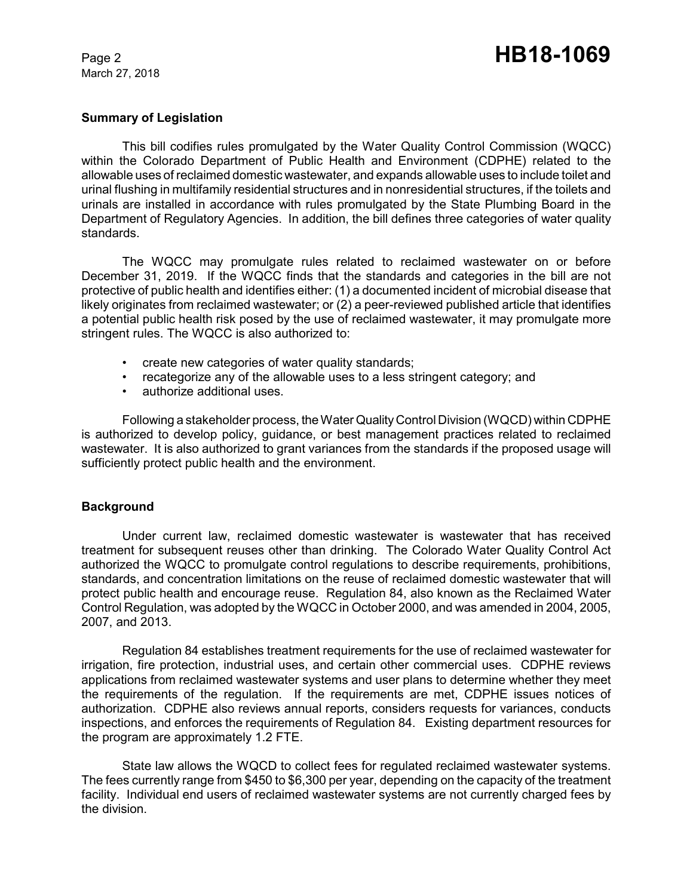March 27, 2018

## **Summary of Legislation**

This bill codifies rules promulgated by the Water Quality Control Commission (WQCC) within the Colorado Department of Public Health and Environment (CDPHE) related to the allowable uses of reclaimed domestic wastewater, and expands allowable uses to include toilet and urinal flushing in multifamily residential structures and in nonresidential structures, if the toilets and urinals are installed in accordance with rules promulgated by the State Plumbing Board in the Department of Regulatory Agencies. In addition, the bill defines three categories of water quality standards.

The WQCC may promulgate rules related to reclaimed wastewater on or before December 31, 2019. If the WQCC finds that the standards and categories in the bill are not protective of public health and identifies either: (1) a documented incident of microbial disease that likely originates from reclaimed wastewater; or (2) a peer-reviewed published article that identifies a potential public health risk posed by the use of reclaimed wastewater, it may promulgate more stringent rules. The WQCC is also authorized to:

- create new categories of water quality standards;
- recategorize any of the allowable uses to a less stringent category; and
- authorize additional uses.

Following a stakeholder process, the Water Quality Control Division (WQCD) within CDPHE is authorized to develop policy, guidance, or best management practices related to reclaimed wastewater. It is also authorized to grant variances from the standards if the proposed usage will sufficiently protect public health and the environment.

# **Background**

Under current law, reclaimed domestic wastewater is wastewater that has received treatment for subsequent reuses other than drinking. The Colorado Water Quality Control Act authorized the WQCC to promulgate control regulations to describe requirements, prohibitions, standards, and concentration limitations on the reuse of reclaimed domestic wastewater that will protect public health and encourage reuse. Regulation 84, also known as the Reclaimed Water Control Regulation, was adopted by the WQCC in October 2000, and was amended in 2004, 2005, 2007, and 2013.

Regulation 84 establishes treatment requirements for the use of reclaimed wastewater for irrigation, fire protection, industrial uses, and certain other commercial uses. CDPHE reviews applications from reclaimed wastewater systems and user plans to determine whether they meet the requirements of the regulation. If the requirements are met, CDPHE issues notices of authorization. CDPHE also reviews annual reports, considers requests for variances, conducts inspections, and enforces the requirements of Regulation 84. Existing department resources for the program are approximately 1.2 FTE.

State law allows the WQCD to collect fees for regulated reclaimed wastewater systems. The fees currently range from \$450 to \$6,300 per year, depending on the capacity of the treatment facility. Individual end users of reclaimed wastewater systems are not currently charged fees by the division.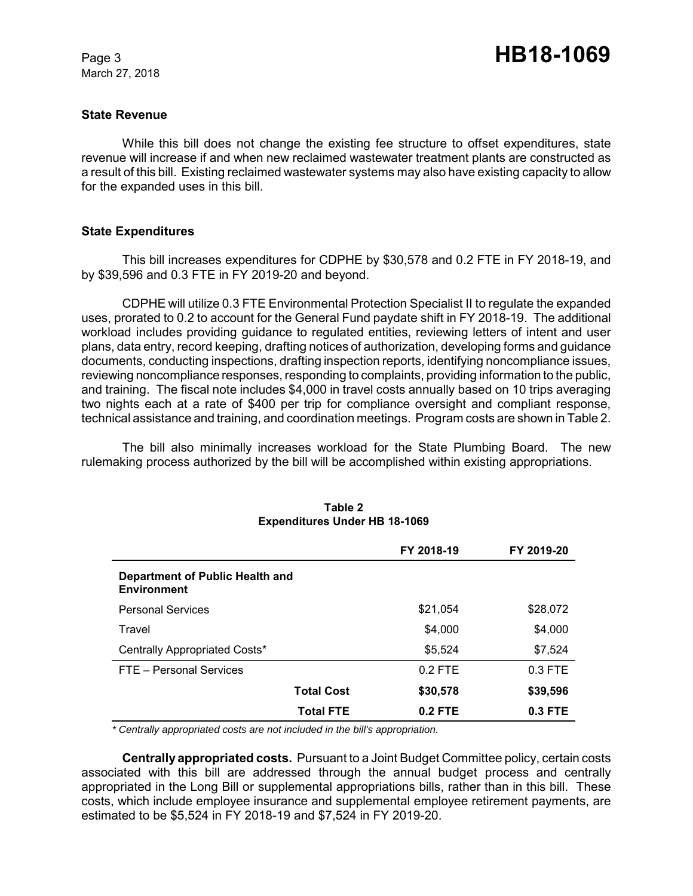March 27, 2018

### **State Revenue**

While this bill does not change the existing fee structure to offset expenditures, state revenue will increase if and when new reclaimed wastewater treatment plants are constructed as a result of this bill. Existing reclaimed wastewater systems may also have existing capacity to allow for the expanded uses in this bill.

### **State Expenditures**

This bill increases expenditures for CDPHE by \$30,578 and 0.2 FTE in FY 2018-19, and by \$39,596 and 0.3 FTE in FY 2019-20 and beyond.

CDPHE will utilize 0.3 FTE Environmental Protection Specialist II to regulate the expanded uses, prorated to 0.2 to account for the General Fund paydate shift in FY 2018-19. The additional workload includes providing guidance to regulated entities, reviewing letters of intent and user plans, data entry, record keeping, drafting notices of authorization, developing forms and guidance documents, conducting inspections, drafting inspection reports, identifying noncompliance issues, reviewing noncompliance responses, responding to complaints, providing information to the public, and training. The fiscal note includes \$4,000 in travel costs annually based on 10 trips averaging two nights each at a rate of \$400 per trip for compliance oversight and compliant response, technical assistance and training, and coordination meetings. Program costs are shown in Table 2.

The bill also minimally increases workload for the State Plumbing Board. The new rulemaking process authorized by the bill will be accomplished within existing appropriations.

|                                                |                   | FY 2018-19 | FY 2019-20 |
|------------------------------------------------|-------------------|------------|------------|
| Department of Public Health and<br>Environment |                   |            |            |
| <b>Personal Services</b>                       |                   | \$21,054   | \$28,072   |
| Travel                                         |                   | \$4,000    | \$4,000    |
| Centrally Appropriated Costs*                  |                   | \$5,524    | \$7,524    |
| FTE - Personal Services                        |                   | $0.2$ FTE  | $0.3$ FTE  |
|                                                | <b>Total Cost</b> | \$30,578   | \$39,596   |
|                                                | <b>Total FTE</b>  | $0.2$ FTE  | $0.3$ FTE  |

#### **Table 2 Expenditures Under HB 18-1069**

 *\* Centrally appropriated costs are not included in the bill's appropriation.*

**Centrally appropriated costs.** Pursuant to a Joint Budget Committee policy, certain costs associated with this bill are addressed through the annual budget process and centrally appropriated in the Long Bill or supplemental appropriations bills, rather than in this bill. These costs, which include employee insurance and supplemental employee retirement payments, are estimated to be \$5,524 in FY 2018-19 and \$7,524 in FY 2019-20.